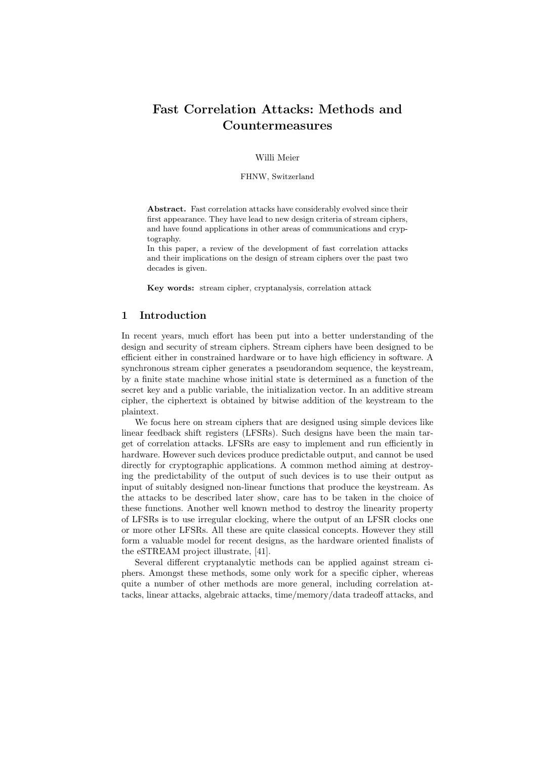# Fast Correlation Attacks: Methods and Countermeasures

Willi Meier

FHNW, Switzerland

Abstract. Fast correlation attacks have considerably evolved since their first appearance. They have lead to new design criteria of stream ciphers, and have found applications in other areas of communications and cryptography.

In this paper, a review of the development of fast correlation attacks and their implications on the design of stream ciphers over the past two decades is given.

Key words: stream cipher, cryptanalysis, correlation attack

## 1 Introduction

In recent years, much effort has been put into a better understanding of the design and security of stream ciphers. Stream ciphers have been designed to be efficient either in constrained hardware or to have high efficiency in software. A synchronous stream cipher generates a pseudorandom sequence, the keystream, by a finite state machine whose initial state is determined as a function of the secret key and a public variable, the initialization vector. In an additive stream cipher, the ciphertext is obtained by bitwise addition of the keystream to the plaintext.

We focus here on stream ciphers that are designed using simple devices like linear feedback shift registers (LFSRs). Such designs have been the main target of correlation attacks. LFSRs are easy to implement and run efficiently in hardware. However such devices produce predictable output, and cannot be used directly for cryptographic applications. A common method aiming at destroying the predictability of the output of such devices is to use their output as input of suitably designed non-linear functions that produce the keystream. As the attacks to be described later show, care has to be taken in the choice of these functions. Another well known method to destroy the linearity property of LFSRs is to use irregular clocking, where the output of an LFSR clocks one or more other LFSRs. All these are quite classical concepts. However they still form a valuable model for recent designs, as the hardware oriented finalists of the eSTREAM project illustrate, [41].

Several different cryptanalytic methods can be applied against stream ciphers. Amongst these methods, some only work for a specific cipher, whereas quite a number of other methods are more general, including correlation attacks, linear attacks, algebraic attacks, time/memory/data tradeoff attacks, and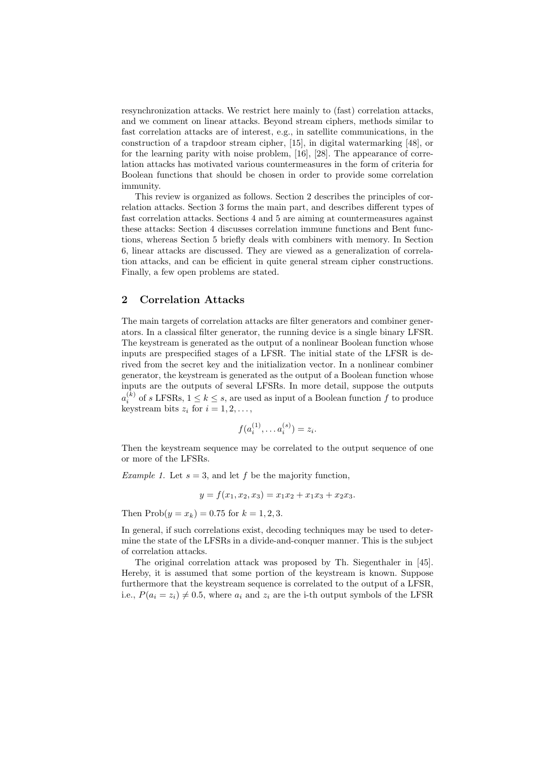resynchronization attacks. We restrict here mainly to (fast) correlation attacks, and we comment on linear attacks. Beyond stream ciphers, methods similar to fast correlation attacks are of interest, e.g., in satellite communications, in the construction of a trapdoor stream cipher, [15], in digital watermarking [48], or for the learning parity with noise problem, [16], [28]. The appearance of correlation attacks has motivated various countermeasures in the form of criteria for Boolean functions that should be chosen in order to provide some correlation immunity.

This review is organized as follows. Section 2 describes the principles of correlation attacks. Section 3 forms the main part, and describes different types of fast correlation attacks. Sections 4 and 5 are aiming at countermeasures against these attacks: Section 4 discusses correlation immune functions and Bent functions, whereas Section 5 briefly deals with combiners with memory. In Section 6, linear attacks are discussed. They are viewed as a generalization of correlation attacks, and can be efficient in quite general stream cipher constructions. Finally, a few open problems are stated.

# 2 Correlation Attacks

The main targets of correlation attacks are filter generators and combiner generators. In a classical filter generator, the running device is a single binary LFSR. The keystream is generated as the output of a nonlinear Boolean function whose inputs are prespecified stages of a LFSR. The initial state of the LFSR is derived from the secret key and the initialization vector. In a nonlinear combiner generator, the keystream is generated as the output of a Boolean function whose inputs are the outputs of several LFSRs. In more detail, suppose the outputs  $a_i^{(k)}$  of s LFSRs,  $1 \leq k \leq s$ , are used as input of a Boolean function f to produce keystream bits  $z_i$  for  $i = 1, 2, \ldots$ ,

$$
f(a_i^{(1)}, \ldots a_i^{(s)}) = z_i.
$$

Then the keystream sequence may be correlated to the output sequence of one or more of the LFSRs.

Example 1. Let  $s = 3$ , and let f be the majority function,

$$
y = f(x_1, x_2, x_3) = x_1 x_2 + x_1 x_3 + x_2 x_3.
$$

Then  $Prob(y = x_k) = 0.75$  for  $k = 1, 2, 3$ .

In general, if such correlations exist, decoding techniques may be used to determine the state of the LFSRs in a divide-and-conquer manner. This is the subject of correlation attacks.

The original correlation attack was proposed by Th. Siegenthaler in [45]. Hereby, it is assumed that some portion of the keystream is known. Suppose furthermore that the keystream sequence is correlated to the output of a LFSR, i.e.,  $P(a_i = z_i) \neq 0.5$ , where  $a_i$  and  $z_i$  are the i-th output symbols of the LFSR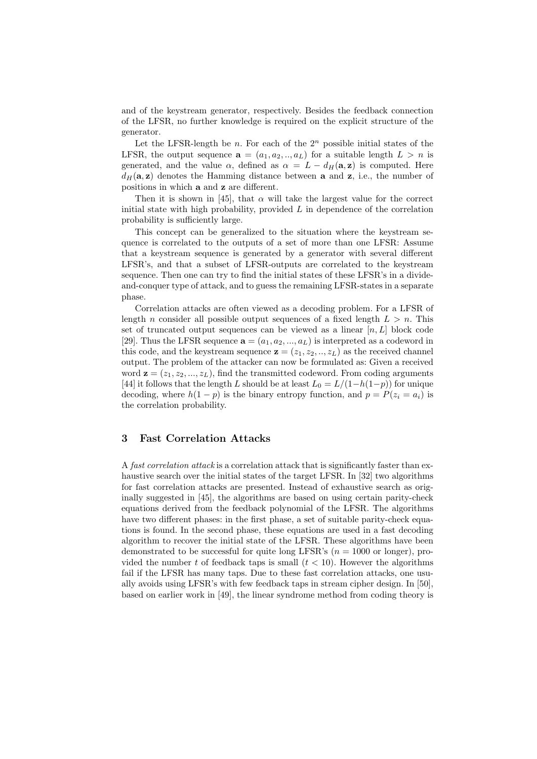and of the keystream generator, respectively. Besides the feedback connection of the LFSR, no further knowledge is required on the explicit structure of the generator.

Let the LFSR-length be n. For each of the  $2^n$  possible initial states of the LFSR, the output sequence  $\mathbf{a} = (a_1, a_2, ..., a_L)$  for a suitable length  $L > n$  is generated, and the value  $\alpha$ , defined as  $\alpha = L - d_H(\mathbf{a}, \mathbf{z})$  is computed. Here  $d_H(a, z)$  denotes the Hamming distance between a and z, i.e., the number of positions in which a and z are different.

Then it is shown in [45], that  $\alpha$  will take the largest value for the correct initial state with high probability, provided  $L$  in dependence of the correlation probability is sufficiently large.

This concept can be generalized to the situation where the keystream sequence is correlated to the outputs of a set of more than one LFSR: Assume that a keystream sequence is generated by a generator with several different LFSR's, and that a subset of LFSR-outputs are correlated to the keystream sequence. Then one can try to find the initial states of these LFSR's in a divideand-conquer type of attack, and to guess the remaining LFSR-states in a separate phase.

Correlation attacks are often viewed as a decoding problem. For a LFSR of length n consider all possible output sequences of a fixed length  $L > n$ . This set of truncated output sequences can be viewed as a linear  $[n, L]$  block code [29]. Thus the LFSR sequence  $\mathbf{a} = (a_1, a_2, ..., a_L)$  is interpreted as a codeword in this code, and the keystream sequence  $z = (z_1, z_2, ..., z_L)$  as the received channel output. The problem of the attacker can now be formulated as: Given a received word  $\mathbf{z} = (z_1, z_2, ..., z_L)$ , find the transmitted codeword. From coding arguments [44] it follows that the length L should be at least  $L_0 = L/(1-h(1-p))$  for unique decoding, where  $h(1-p)$  is the binary entropy function, and  $p = P(z_i = a_i)$  is the correlation probability.

# 3 Fast Correlation Attacks

A fast correlation attack is a correlation attack that is significantly faster than exhaustive search over the initial states of the target LFSR. In [32] two algorithms for fast correlation attacks are presented. Instead of exhaustive search as originally suggested in [45], the algorithms are based on using certain parity-check equations derived from the feedback polynomial of the LFSR. The algorithms have two different phases: in the first phase, a set of suitable parity-check equations is found. In the second phase, these equations are used in a fast decoding algorithm to recover the initial state of the LFSR. These algorithms have been demonstrated to be successful for quite long LFSR's  $(n = 1000 \text{ or longer})$ , provided the number t of feedback taps is small  $(t < 10)$ . However the algorithms fail if the LFSR has many taps. Due to these fast correlation attacks, one usually avoids using LFSR's with few feedback taps in stream cipher design. In [50], based on earlier work in [49], the linear syndrome method from coding theory is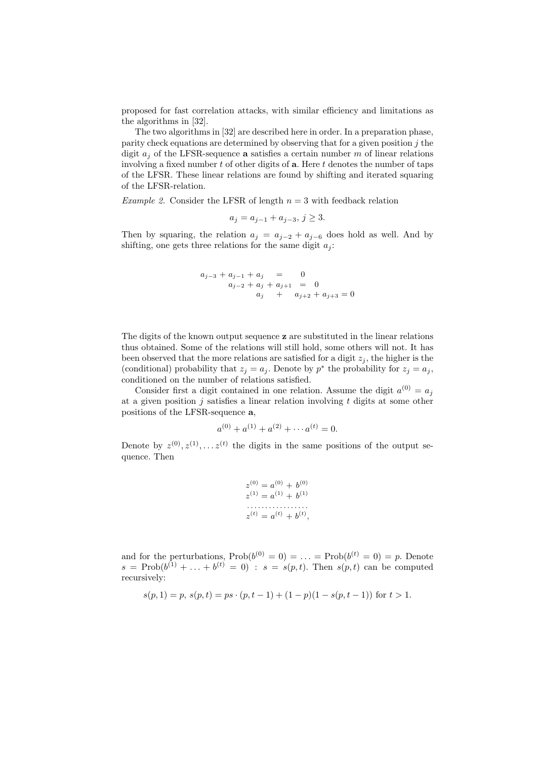proposed for fast correlation attacks, with similar efficiency and limitations as the algorithms in [32].

The two algorithms in [32] are described here in order. In a preparation phase, parity check equations are determined by observing that for a given position  $j$  the digit  $a_i$  of the LFSR-sequence **a** satisfies a certain number m of linear relations involving a fixed number  $t$  of other digits of  $a$ . Here  $t$  denotes the number of taps of the LFSR. These linear relations are found by shifting and iterated squaring of the LFSR-relation.

*Example 2.* Consider the LFSR of length  $n = 3$  with feedback relation

$$
a_j = a_{j-1} + a_{j-3}, \, j \ge 3.
$$

Then by squaring, the relation  $a_j = a_{j-2} + a_{j-6}$  does hold as well. And by shifting, one gets three relations for the same digit  $a_i$ .

$$
a_{j-3} + a_{j-1} + a_j = 0
$$
  
\n
$$
a_{j-2} + a_j + a_{j+1} = 0
$$
  
\n
$$
a_j + a_{j+2} + a_{j+3} = 0
$$

The digits of the known output sequence **z** are substituted in the linear relations thus obtained. Some of the relations will still hold, some others will not. It has been observed that the more relations are satisfied for a digit  $z_i$ , the higher is the (conditional) probability that  $z_j = a_j$ . Denote by  $p^*$  the probability for  $z_j = a_j$ , conditioned on the number of relations satisfied.

Consider first a digit contained in one relation. Assume the digit  $a^{(0)} = a_j$ at a given position  $j$  satisfies a linear relation involving  $t$  digits at some other positions of the LFSR-sequence a,

$$
a^{(0)} + a^{(1)} + a^{(2)} + \cdots a^{(t)} = 0.
$$

Denote by  $z^{(0)}, z^{(1)}, \ldots z^{(t)}$  the digits in the same positions of the output sequence. Then

$$
z^{(0)} = a^{(0)} + b^{(0)}
$$
  
\n
$$
z^{(1)} = a^{(1)} + b^{(1)}
$$
  
\n
$$
\dots \dots \dots \dots
$$
  
\n
$$
z^{(t)} = a^{(t)} + b^{(t)},
$$

and for the perturbations,  $Prob(b^{(0)} = 0) = ... = Prob(b^{(t)} = 0) = p$ . Denote  $s = \text{Prob}(b^{(1)} + \ldots + b^{(t)} = 0)$ :  $s = s(p, t)$ . Then  $s(p, t)$  can be computed recursively:

$$
s(p, 1) = p, s(p, t) = ps \cdot (p, t - 1) + (1 - p)(1 - s(p, t - 1))
$$
 for  $t > 1$ .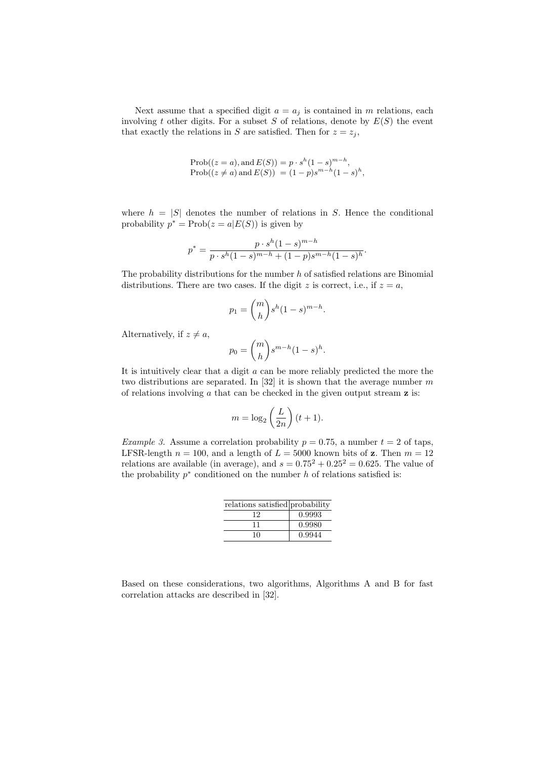Next assume that a specified digit  $a = a_j$  is contained in m relations, each involving t other digits. For a subset  $S$  of relations, denote by  $E(S)$  the event that exactly the relations in S are satisfied. Then for  $z = z_j$ ,

$$
\text{Prob}((z = a), \text{ and } E(S)) = p \cdot s^h (1 - s)^{m - h},
$$
  
\n
$$
\text{Prob}((z \neq a) \text{ and } E(S)) = (1 - p)s^{m - h}(1 - s)^h,
$$

where  $h = |S|$  denotes the number of relations in S. Hence the conditional probability  $p^* = \text{Prob}(z = a | E(S))$  is given by

$$
p^* = \frac{p \cdot s^h (1 - s)^{m - h}}{p \cdot s^h (1 - s)^{m - h} + (1 - p) s^{m - h} (1 - s)^h}.
$$

The probability distributions for the number  $h$  of satisfied relations are Binomial distributions. There are two cases. If the digit z is correct, i.e., if  $z = a$ ,

$$
p_1 = \binom{m}{h} s^h (1-s)^{m-h}.
$$

Alternatively, if  $z \neq a$ ,

$$
p_0 = \binom{m}{h} s^{m-h} (1-s)^h.
$$

It is intuitively clear that a digit a can be more reliably predicted the more the two distributions are separated. In  $[32]$  it is shown that the average number m of relations involving  $\alpha$  that can be checked in the given output stream  $\mathbf{z}$  is:

$$
m = \log_2\left(\frac{L}{2n}\right)(t+1).
$$

*Example 3.* Assume a correlation probability  $p = 0.75$ , a number  $t = 2$  of taps, LFSR-length  $n = 100$ , and a length of  $L = 5000$  known bits of z. Then  $m = 12$ relations are available (in average), and  $s = 0.75^2 + 0.25^2 = 0.625$ . The value of the probability  $p^*$  conditioned on the number h of relations satisfied is:

| relations satisfied probability |        |
|---------------------------------|--------|
| 12                              | 0.9993 |
| 11                              | 0.9980 |
| 10                              | 0.9944 |

Based on these considerations, two algorithms, Algorithms A and B for fast correlation attacks are described in [32].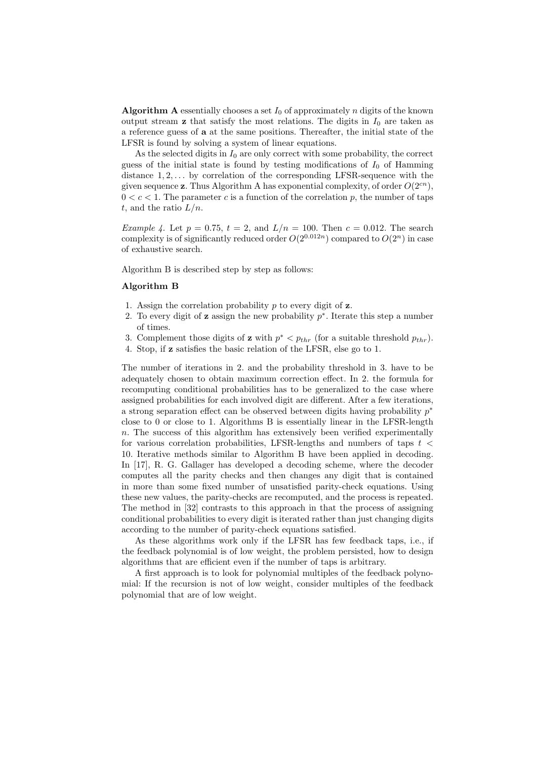**Algorithm A** essentially chooses a set  $I_0$  of approximately n digits of the known output stream z that satisfy the most relations. The digits in  $I_0$  are taken as a reference guess of a at the same positions. Thereafter, the initial state of the LFSR is found by solving a system of linear equations.

As the selected digits in  $I_0$  are only correct with some probability, the correct guess of the initial state is found by testing modifications of  $I_0$  of Hamming distance  $1, 2, \ldots$  by correlation of the corresponding LFSR-sequence with the given sequence **z**. Thus Algorithm A has exponential complexity, of order  $O(2^{cn})$ ,  $0 < c < 1$ . The parameter c is a function of the correlation p, the number of taps t, and the ratio  $L/n$ .

*Example 4.* Let  $p = 0.75$ ,  $t = 2$ , and  $L/n = 100$ . Then  $c = 0.012$ . The search complexity is of significantly reduced order  $O(2^{0.012n})$  compared to  $O(2^n)$  in case of exhaustive search.

Algorithm B is described step by step as follows:

#### Algorithm B

- 1. Assign the correlation probability  $p$  to every digit of  $z$ .
- 2. To every digit of  $z$  assign the new probability  $p^*$ . Iterate this step a number of times.
- 3. Complement those digits of **z** with  $p^* < p_{thr}$  (for a suitable threshold  $p_{thr}$ ).
- 4. Stop, if z satisfies the basic relation of the LFSR, else go to 1.

The number of iterations in 2. and the probability threshold in 3. have to be adequately chosen to obtain maximum correction effect. In 2. the formula for recomputing conditional probabilities has to be generalized to the case where assigned probabilities for each involved digit are different. After a few iterations, a strong separation effect can be observed between digits having probability  $p^*$ close to 0 or close to 1. Algorithms B is essentially linear in the LFSR-length  $n.$  The success of this algorithm has extensively been verified experimentally for various correlation probabilities, LFSR-lengths and numbers of taps  $t <$ 10. Iterative methods similar to Algorithm B have been applied in decoding. In [17], R. G. Gallager has developed a decoding scheme, where the decoder computes all the parity checks and then changes any digit that is contained in more than some fixed number of unsatisfied parity-check equations. Using these new values, the parity-checks are recomputed, and the process is repeated. The method in [32] contrasts to this approach in that the process of assigning conditional probabilities to every digit is iterated rather than just changing digits according to the number of parity-check equations satisfied.

As these algorithms work only if the LFSR has few feedback taps, i.e., if the feedback polynomial is of low weight, the problem persisted, how to design algorithms that are efficient even if the number of taps is arbitrary.

A first approach is to look for polynomial multiples of the feedback polynomial: If the recursion is not of low weight, consider multiples of the feedback polynomial that are of low weight.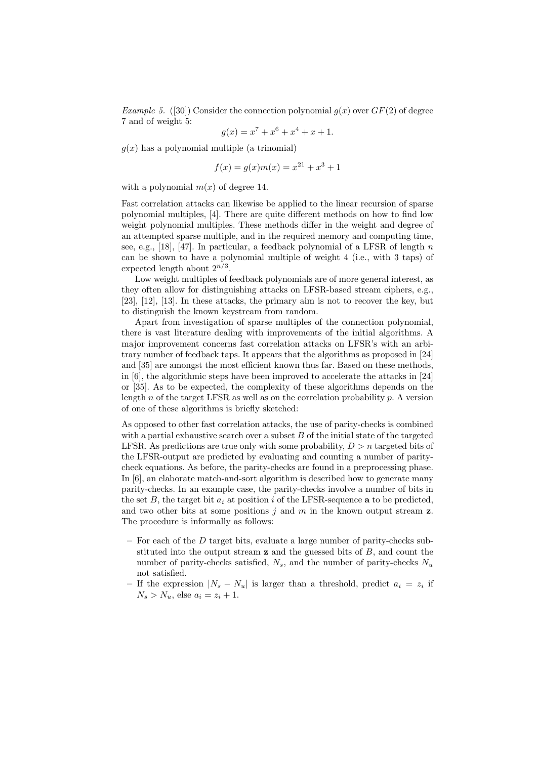Example 5. ([30]) Consider the connection polynomial  $g(x)$  over  $GF(2)$  of degree 7 and of weight 5:

$$
g(x) = x^7 + x^6 + x^4 + x + 1.
$$

 $q(x)$  has a polynomial multiple (a trinomial)

$$
f(x) = g(x)m(x) = x^{21} + x^3 + 1
$$

with a polynomial  $m(x)$  of degree 14.

Fast correlation attacks can likewise be applied to the linear recursion of sparse polynomial multiples, [4]. There are quite different methods on how to find low weight polynomial multiples. These methods differ in the weight and degree of an attempted sparse multiple, and in the required memory and computing time, see, e.g., [18], [47]. In particular, a feedback polynomial of a LFSR of length  $n$ can be shown to have a polynomial multiple of weight 4 (i.e., with 3 taps) of expected length about  $2^{n/3}$ .

Low weight multiples of feedback polynomials are of more general interest, as they often allow for distinguishing attacks on LFSR-based stream ciphers, e.g., [23], [12], [13]. In these attacks, the primary aim is not to recover the key, but to distinguish the known keystream from random.

Apart from investigation of sparse multiples of the connection polynomial, there is vast literature dealing with improvements of the initial algorithms. A major improvement concerns fast correlation attacks on LFSR's with an arbitrary number of feedback taps. It appears that the algorithms as proposed in [24] and [35] are amongst the most efficient known thus far. Based on these methods, in [6], the algorithmic steps have been improved to accelerate the attacks in [24] or [35]. As to be expected, the complexity of these algorithms depends on the length  $n$  of the target LFSR as well as on the correlation probability  $p$ . A version of one of these algorithms is briefly sketched:

As opposed to other fast correlation attacks, the use of parity-checks is combined with a partial exhaustive search over a subset  $B$  of the initial state of the targeted LFSR. As predictions are true only with some probability,  $D > n$  targeted bits of the LFSR-output are predicted by evaluating and counting a number of paritycheck equations. As before, the parity-checks are found in a preprocessing phase. In [6], an elaborate match-and-sort algorithm is described how to generate many parity-checks. In an example case, the parity-checks involve a number of bits in the set B, the target bit  $a_i$  at position i of the LFSR-sequence **a** to be predicted, and two other bits at some positions  $j$  and m in the known output stream  $z$ . The procedure is informally as follows:

- For each of the D target bits, evaluate a large number of parity-checks substituted into the output stream  $z$  and the guessed bits of  $B$ , and count the number of parity-checks satisfied,  $N_s$ , and the number of parity-checks  $N_u$ not satisfied.
- If the expression  $|N_s N_u|$  is larger than a threshold, predict  $a_i = z_i$  if  $N_s > N_u$ , else  $a_i = z_i + 1$ .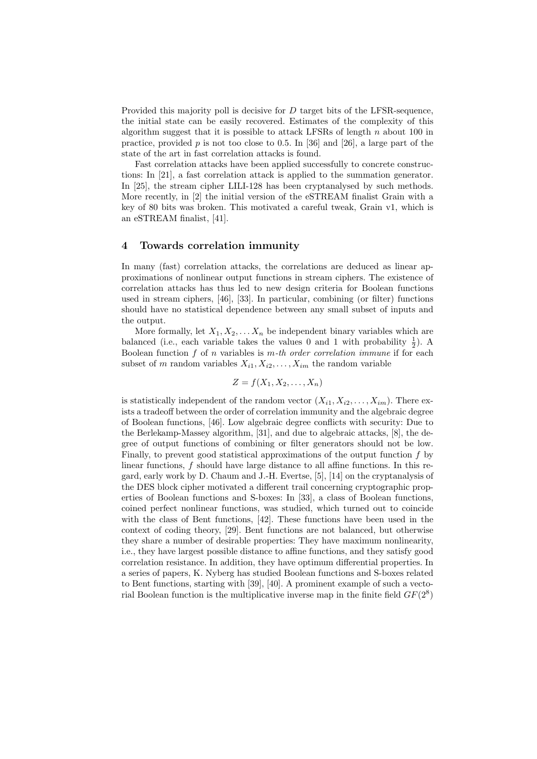Provided this majority poll is decisive for  $D$  target bits of the LFSR-sequence, the initial state can be easily recovered. Estimates of the complexity of this algorithm suggest that it is possible to attack LFSRs of length  $n$  about 100 in practice, provided  $p$  is not too close to 0.5. In [36] and [26], a large part of the state of the art in fast correlation attacks is found.

Fast correlation attacks have been applied successfully to concrete constructions: In [21], a fast correlation attack is applied to the summation generator. In [25], the stream cipher LILI-128 has been cryptanalysed by such methods. More recently, in [2] the initial version of the eSTREAM finalist Grain with a key of 80 bits was broken. This motivated a careful tweak, Grain v1, which is an eSTREAM finalist, [41].

## 4 Towards correlation immunity

In many (fast) correlation attacks, the correlations are deduced as linear approximations of nonlinear output functions in stream ciphers. The existence of correlation attacks has thus led to new design criteria for Boolean functions used in stream ciphers, [46], [33]. In particular, combining (or filter) functions should have no statistical dependence between any small subset of inputs and the output.

More formally, let  $X_1, X_2, \ldots X_n$  be independent binary variables which are balanced (i.e., each variable takes the values 0 and 1 with probability  $\frac{1}{2}$ ). A Boolean function  $f$  of  $n$  variables is  $m$ -th order correlation immune if for each subset of m random variables  $X_{i1}, X_{i2}, \ldots, X_{im}$  the random variable

$$
Z = f(X_1, X_2, \dots, X_n)
$$

is statistically independent of the random vector  $(X_{i1}, X_{i2}, \ldots, X_{im})$ . There exists a tradeoff between the order of correlation immunity and the algebraic degree of Boolean functions, [46]. Low algebraic degree conflicts with security: Due to the Berlekamp-Massey algorithm, [31], and due to algebraic attacks, [8], the degree of output functions of combining or filter generators should not be low. Finally, to prevent good statistical approximations of the output function f by linear functions, f should have large distance to all affine functions. In this regard, early work by D. Chaum and J.-H. Evertse, [5], [14] on the cryptanalysis of the DES block cipher motivated a different trail concerning cryptographic properties of Boolean functions and S-boxes: In [33], a class of Boolean functions, coined perfect nonlinear functions, was studied, which turned out to coincide with the class of Bent functions, [42]. These functions have been used in the context of coding theory, [29]. Bent functions are not balanced, but otherwise they share a number of desirable properties: They have maximum nonlinearity, i.e., they have largest possible distance to affine functions, and they satisfy good correlation resistance. In addition, they have optimum differential properties. In a series of papers, K. Nyberg has studied Boolean functions and S-boxes related to Bent functions, starting with [39], [40]. A prominent example of such a vectorial Boolean function is the multiplicative inverse map in the finite field  $GF(2^8)$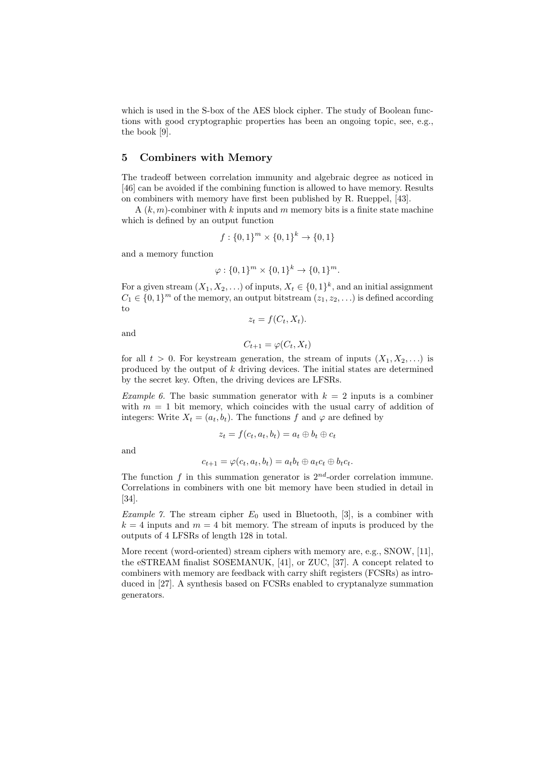which is used in the S-box of the AES block cipher. The study of Boolean functions with good cryptographic properties has been an ongoing topic, see, e.g., the book [9].

# 5 Combiners with Memory

The tradeoff between correlation immunity and algebraic degree as noticed in [46] can be avoided if the combining function is allowed to have memory. Results on combiners with memory have first been published by R. Rueppel, [43].

A  $(k, m)$ -combiner with k inputs and m memory bits is a finite state machine which is defined by an output function

$$
f: \{0,1\}^m \times \{0,1\}^k \to \{0,1\}
$$

and a memory function

$$
\varphi: \{0,1\}^m \times \{0,1\}^k \to \{0,1\}^m.
$$

For a given stream  $(X_1, X_2, ...)$  of inputs,  $X_t \in \{0, 1\}^k$ , and an initial assignment  $C_1 \in \{0,1\}^m$  of the memory, an output bitstream  $(z_1, z_2, \ldots)$  is defined according to

and

$$
C_{t+1} = \varphi(C_t, X_t)
$$

 $z_t = f(C_t, X_t).$ 

for all  $t > 0$ . For keystream generation, the stream of inputs  $(X_1, X_2, \ldots)$  is produced by the output of  $k$  driving devices. The initial states are determined by the secret key. Often, the driving devices are LFSRs.

*Example 6.* The basic summation generator with  $k = 2$  inputs is a combiner with  $m = 1$  bit memory, which coincides with the usual carry of addition of integers: Write  $X_t = (a_t, b_t)$ . The functions f and  $\varphi$  are defined by

$$
z_t = f(c_t, a_t, b_t) = a_t \oplus b_t \oplus c_t
$$

and

$$
c_{t+1} = \varphi(c_t, a_t, b_t) = a_t b_t \oplus a_t c_t \oplus b_t c_t.
$$

The function f in this summation generator is  $2^{nd}$ -order correlation immune. Correlations in combiners with one bit memory have been studied in detail in [34].

*Example 7.* The stream cipher  $E_0$  used in Bluetooth, [3], is a combiner with  $k = 4$  inputs and  $m = 4$  bit memory. The stream of inputs is produced by the outputs of 4 LFSRs of length 128 in total.

More recent (word-oriented) stream ciphers with memory are, e.g., SNOW, [11], the eSTREAM finalist SOSEMANUK, [41], or ZUC, [37]. A concept related to combiners with memory are feedback with carry shift registers (FCSRs) as introduced in [27]. A synthesis based on FCSRs enabled to cryptanalyze summation generators.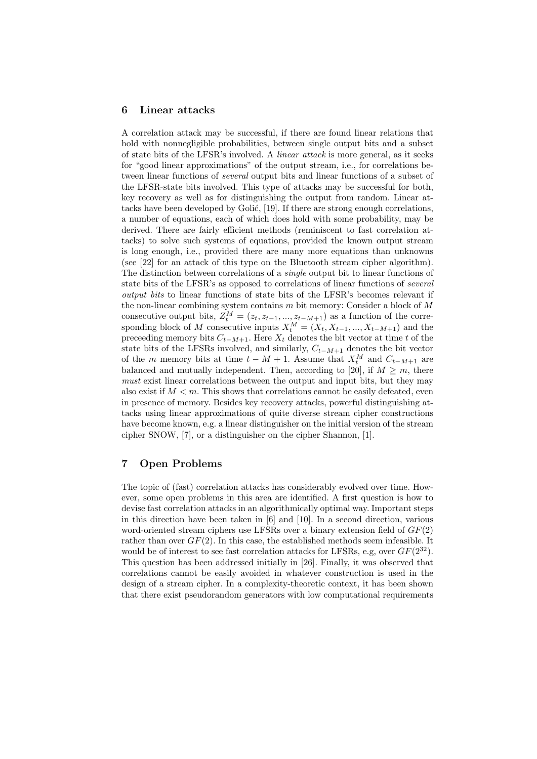#### 6 Linear attacks

A correlation attack may be successful, if there are found linear relations that hold with nonnegligible probabilities, between single output bits and a subset of state bits of the LFSR's involved. A linear attack is more general, as it seeks for "good linear approximations" of the output stream, i.e., for correlations between linear functions of several output bits and linear functions of a subset of the LFSR-state bits involved. This type of attacks may be successful for both, key recovery as well as for distinguishing the output from random. Linear attacks have been developed by Golić, [19]. If there are strong enough correlations, a number of equations, each of which does hold with some probability, may be derived. There are fairly efficient methods (reminiscent to fast correlation attacks) to solve such systems of equations, provided the known output stream is long enough, i.e., provided there are many more equations than unknowns (see [22] for an attack of this type on the Bluetooth stream cipher algorithm). The distinction between correlations of a *single* output bit to linear functions of state bits of the LFSR's as opposed to correlations of linear functions of several output bits to linear functions of state bits of the LFSR's becomes relevant if the non-linear combining system contains  $m$  bit memory: Consider a block of  $M$ consecutive output bits,  $Z_t^M = (z_t, z_{t-1}, ..., z_{t-M+1})$  as a function of the corresponding block of M consecutive inputs  $X_t^M = (X_t, X_{t-1}, ..., X_{t-M+1})$  and the preceeding memory bits  $C_{t-M+1}$ . Here  $X_t$  denotes the bit vector at time t of the state bits of the LFSRs involved, and similarly,  $C_{t-M+1}$  denotes the bit vector of the m memory bits at time  $t - M + 1$ . Assume that  $X_t^M$  and  $C_{t-M+1}$  are balanced and mutually independent. Then, according to [20], if  $M \geq m$ , there must exist linear correlations between the output and input bits, but they may also exist if  $M < m$ . This shows that correlations cannot be easily defeated, even in presence of memory. Besides key recovery attacks, powerful distinguishing attacks using linear approximations of quite diverse stream cipher constructions have become known, e.g. a linear distinguisher on the initial version of the stream cipher SNOW, [7], or a distinguisher on the cipher Shannon, [1].

## 7 Open Problems

The topic of (fast) correlation attacks has considerably evolved over time. However, some open problems in this area are identified. A first question is how to devise fast correlation attacks in an algorithmically optimal way. Important steps in this direction have been taken in [6] and [10]. In a second direction, various word-oriented stream ciphers use LFSRs over a binary extension field of  $GF(2)$ rather than over  $GF(2)$ . In this case, the established methods seem infeasible. It would be of interest to see fast correlation attacks for LFSRs, e.g, over  $GF(2^{32})$ . This question has been addressed initially in [26]. Finally, it was observed that correlations cannot be easily avoided in whatever construction is used in the design of a stream cipher. In a complexity-theoretic context, it has been shown that there exist pseudorandom generators with low computational requirements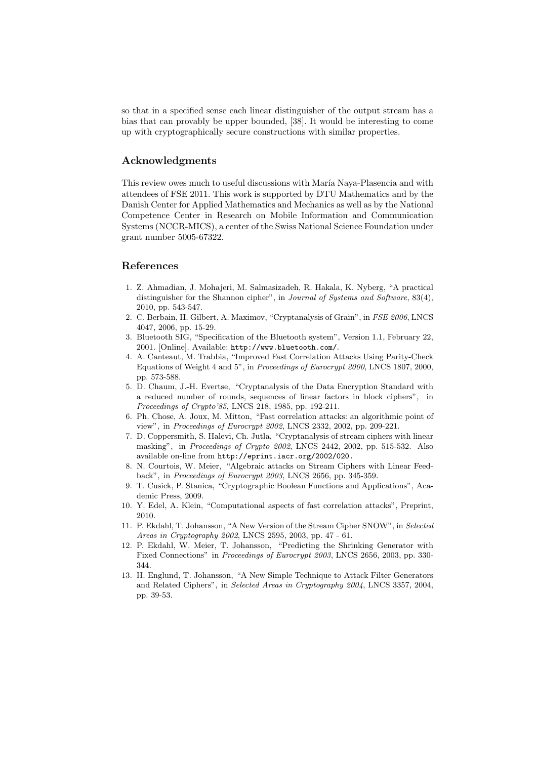so that in a specified sense each linear distinguisher of the output stream has a bias that can provably be upper bounded, [38]. It would be interesting to come up with cryptographically secure constructions with similar properties.

#### Acknowledgments

This review owes much to useful discussions with María Naya-Plasencia and with attendees of FSE 2011. This work is supported by DTU Mathematics and by the Danish Center for Applied Mathematics and Mechanics as well as by the National Competence Center in Research on Mobile Information and Communication Systems (NCCR-MICS), a center of the Swiss National Science Foundation under grant number 5005-67322.

## References

- 1. Z. Ahmadian, J. Mohajeri, M. Salmasizadeh, R. Hakala, K. Nyberg, "A practical distinguisher for the Shannon cipher", in Journal of Systems and Software, 83(4), 2010, pp. 543-547.
- 2. C. Berbain, H. Gilbert, A. Maximov, "Cryptanalysis of Grain", in FSE 2006, LNCS 4047, 2006, pp. 15-29.
- 3. Bluetooth SIG, "Specification of the Bluetooth system", Version 1.1, February 22, 2001. [Online]. Available: http://www.bluetooth.com/.
- 4. A. Canteaut, M. Trabbia, "Improved Fast Correlation Attacks Using Parity-Check Equations of Weight 4 and 5", in Proceedings of Eurocrypt 2000, LNCS 1807, 2000, pp. 573-588.
- 5. D. Chaum, J.-H. Evertse, "Cryptanalysis of the Data Encryption Standard with a reduced number of rounds, sequences of linear factors in block ciphers", in Proceedings of Crypto'85, LNCS 218, 1985, pp. 192-211.
- 6. Ph. Chose, A. Joux, M. Mitton, "Fast correlation attacks: an algorithmic point of view", in Proceedings of Eurocrypt 2002, LNCS 2332, 2002, pp. 209-221.
- 7. D. Coppersmith, S. Halevi, Ch. Jutla, "Cryptanalysis of stream ciphers with linear masking", in Proceedings of Crypto 2002, LNCS 2442, 2002, pp. 515-532. Also available on-line from http://eprint.iacr.org/2002/020.
- 8. N. Courtois, W. Meier, "Algebraic attacks on Stream Ciphers with Linear Feedback", in Proceedings of Eurocrypt 2003, LNCS 2656, pp. 345-359.
- 9. T. Cusick, P. Stanica, "Cryptographic Boolean Functions and Applications", Academic Press, 2009.
- 10. Y. Edel, A. Klein, "Computational aspects of fast correlation attacks", Preprint, 2010.
- 11. P. Ekdahl, T. Johansson, "A New Version of the Stream Cipher SNOW", in Selected Areas in Cryptography 2002, LNCS 2595, 2003, pp. 47 - 61.
- 12. P. Ekdahl, W. Meier, T. Johansson, "Predicting the Shrinking Generator with Fixed Connections" in Proceedings of Eurocrypt 2003, LNCS 2656, 2003, pp. 330- 344.
- 13. H. Englund, T. Johansson, "A New Simple Technique to Attack Filter Generators and Related Ciphers", in Selected Areas in Cryptography 2004, LNCS 3357, 2004, pp. 39-53.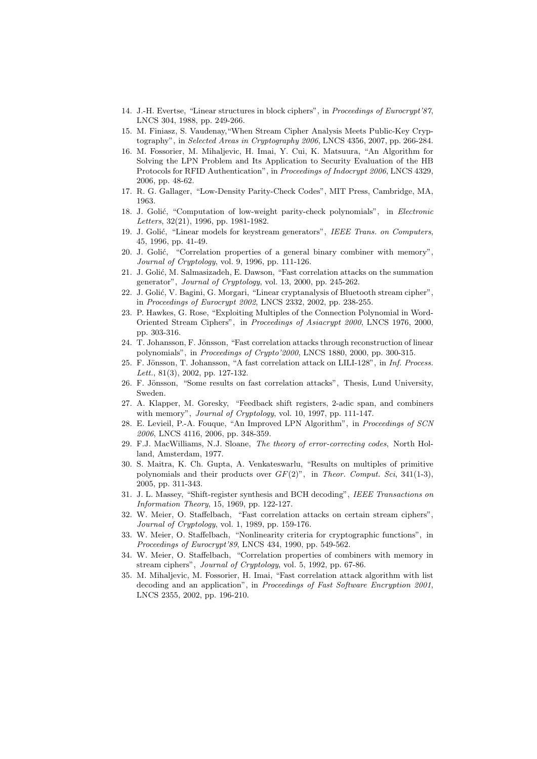- 14. J.-H. Evertse, "Linear structures in block ciphers", in Proceedings of Eurocrypt'87, LNCS 304, 1988, pp. 249-266.
- 15. M. Finiasz, S. Vaudenay,"When Stream Cipher Analysis Meets Public-Key Cryptography", in Selected Areas in Cryptography 2006, LNCS 4356, 2007, pp. 266-284.
- 16. M. Fossorier, M. Mihaljevic, H. Imai, Y. Cui, K. Matsuura, "An Algorithm for Solving the LPN Problem and Its Application to Security Evaluation of the HB Protocols for RFID Authentication", in Proceedings of Indocrypt 2006, LNCS 4329, 2006, pp. 48-62.
- 17. R. G. Gallager, "Low-Density Parity-Check Codes", MIT Press, Cambridge, MA, 1963.
- 18. J. Golić, "Computation of low-weight parity-check polynomials", in *Electronic* Letters, 32(21), 1996, pp. 1981-1982.
- 19. J. Golić, "Linear models for keystream generators", IEEE Trans. on Computers, 45, 1996, pp. 41-49.
- 20. J. Golić, "Correlation properties of a general binary combiner with memory", Journal of Cryptology, vol. 9, 1996, pp. 111-126.
- 21. J. Golić, M. Salmasizadeh, E. Dawson, "Fast correlation attacks on the summation generator", Journal of Cryptology, vol. 13, 2000, pp. 245-262.
- 22. J. Golić, V. Bagini, G. Morgari, "Linear cryptanalysis of Bluetooth stream cipher", in Proceedings of Eurocrypt 2002, LNCS 2332, 2002, pp. 238-255.
- 23. P. Hawkes, G. Rose, "Exploiting Multiples of the Connection Polynomial in Word-Oriented Stream Ciphers", in Proceedings of Asiacrypt 2000, LNCS 1976, 2000, pp. 303-316.
- 24. T. Johansson, F. Jönsson, "Fast correlation attacks through reconstruction of linear polynomials", in Proceedings of Crypto'2000, LNCS 1880, 2000, pp. 300-315.
- 25. F. Jönsson, T. Johansson, "A fast correlation attack on LILI-128", in Inf. Process. Lett., 81(3), 2002, pp. 127-132.
- 26. F. Jönsson, "Some results on fast correlation attacks", Thesis, Lund University, Sweden.
- 27. A. Klapper, M. Goresky, "Feedback shift registers, 2-adic span, and combiners with memory", Journal of Cryptology, vol. 10, 1997, pp. 111-147.
- 28. E. Levieil, P.-A. Fouque, "An Improved LPN Algorithm", in Proceedings of SCN 2006, LNCS 4116, 2006, pp. 348-359.
- 29. F.J. MacWilliams, N.J. Sloane, The theory of error-correcting codes, North Holland, Amsterdam, 1977.
- 30. S. Maitra, K. Ch. Gupta, A. Venkateswarlu, "Results on multiples of primitive polynomials and their products over  $GF(2)$ ", in Theor. Comput. Sci, 341(1-3), 2005, pp. 311-343.
- 31. J. L. Massey, "Shift-register synthesis and BCH decoding", IEEE Transactions on Information Theory, 15, 1969, pp. 122-127.
- 32. W. Meier, O. Staffelbach, "Fast correlation attacks on certain stream ciphers", Journal of Cryptology, vol. 1, 1989, pp. 159-176.
- 33. W. Meier, O. Staffelbach, "Nonlinearity criteria for cryptographic functions", in Proceedings of Eurocrypt'89, LNCS 434, 1990, pp. 549-562.
- 34. W. Meier, O. Staffelbach, "Correlation properties of combiners with memory in stream ciphers", Journal of Cryptology, vol. 5, 1992, pp. 67-86.
- 35. M. Mihaljevic, M. Fossorier, H. Imai, "Fast correlation attack algorithm with list decoding and an application", in Proceedings of Fast Software Encryption 2001, LNCS 2355, 2002, pp. 196-210.